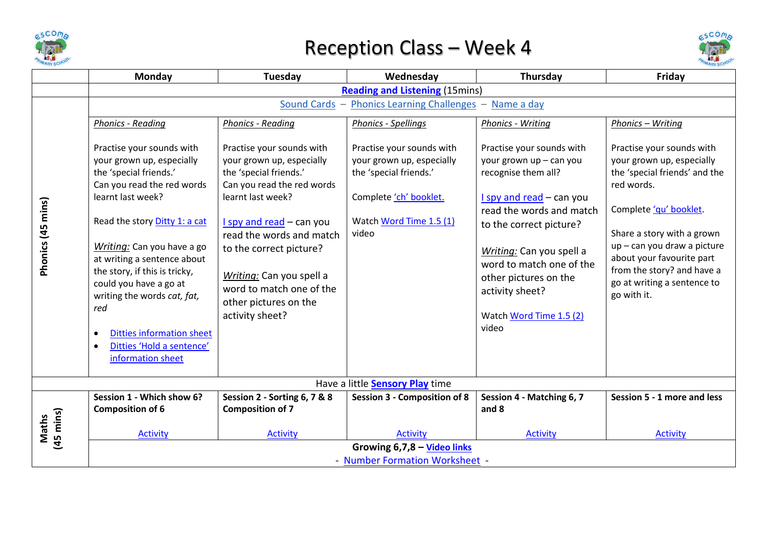

## Reception Class – Week 4



|                    | Monday                                                                                                                                                                                                                                                                                                                                                                                                                   | <b>Tuesday</b>                                                                                                                                                                                                                                                                                                               | Wednesday                                                                                                                                                                                | Thursday                                                                                                                                                                                                                                                                                                 | Friday                                                                                                                                                                                                                                                                                                  |  |  |  |
|--------------------|--------------------------------------------------------------------------------------------------------------------------------------------------------------------------------------------------------------------------------------------------------------------------------------------------------------------------------------------------------------------------------------------------------------------------|------------------------------------------------------------------------------------------------------------------------------------------------------------------------------------------------------------------------------------------------------------------------------------------------------------------------------|------------------------------------------------------------------------------------------------------------------------------------------------------------------------------------------|----------------------------------------------------------------------------------------------------------------------------------------------------------------------------------------------------------------------------------------------------------------------------------------------------------|---------------------------------------------------------------------------------------------------------------------------------------------------------------------------------------------------------------------------------------------------------------------------------------------------------|--|--|--|
|                    | <b>Reading and Listening (15mins)</b>                                                                                                                                                                                                                                                                                                                                                                                    |                                                                                                                                                                                                                                                                                                                              |                                                                                                                                                                                          |                                                                                                                                                                                                                                                                                                          |                                                                                                                                                                                                                                                                                                         |  |  |  |
|                    | Sound Cards - Phonics Learning Challenges<br>Name a day<br>$\overline{\phantom{m}}$                                                                                                                                                                                                                                                                                                                                      |                                                                                                                                                                                                                                                                                                                              |                                                                                                                                                                                          |                                                                                                                                                                                                                                                                                                          |                                                                                                                                                                                                                                                                                                         |  |  |  |
|                    | <b>Phonics - Reading</b>                                                                                                                                                                                                                                                                                                                                                                                                 | <b>Phonics - Reading</b>                                                                                                                                                                                                                                                                                                     | <b>Phonics - Spellings</b>                                                                                                                                                               | Phonics - Writing                                                                                                                                                                                                                                                                                        | Phonics - Writing                                                                                                                                                                                                                                                                                       |  |  |  |
| Phonics (45 mins)  | Practise your sounds with<br>your grown up, especially<br>the 'special friends.'<br>Can you read the red words<br>learnt last week?<br>Read the story Ditty 1: a cat<br>Writing: Can you have a go<br>at writing a sentence about<br>the story, if this is tricky,<br>could you have a go at<br>writing the words cat, fat,<br>red<br><b>Ditties information sheet</b><br>Ditties 'Hold a sentence'<br>information sheet | Practise your sounds with<br>your grown up, especially<br>the 'special friends.'<br>Can you read the red words<br>learnt last week?<br>$l$ spy and read – can you<br>read the words and match<br>to the correct picture?<br>Writing: Can you spell a<br>word to match one of the<br>other pictures on the<br>activity sheet? | Practise your sounds with<br>your grown up, especially<br>the 'special friends.'<br>Complete 'ch' booklet.<br>Watch Word Time 1.5 (1)<br>video<br>Have a little <b>Sensory Play</b> time | Practise your sounds with<br>your grown up - can you<br>recognise them all?<br>$l$ spy and read – can you<br>read the words and match<br>to the correct picture?<br>Writing: Can you spell a<br>word to match one of the<br>other pictures on the<br>activity sheet?<br>Watch Word Time 1.5 (2)<br>video | Practise your sounds with<br>your grown up, especially<br>the 'special friends' and the<br>red words.<br>Complete 'qu' booklet.<br>Share a story with a grown<br>$up$ – can you draw a picture<br>about your favourite part<br>from the story? and have a<br>go at writing a sentence to<br>go with it. |  |  |  |
|                    | Session 1 - Which show 6?                                                                                                                                                                                                                                                                                                                                                                                                | Session 2 - Sorting 6, 7 & 8                                                                                                                                                                                                                                                                                                 | <b>Session 3 - Composition of 8</b>                                                                                                                                                      | Session 4 - Matching 6, 7                                                                                                                                                                                                                                                                                | Session 5 - 1 more and less                                                                                                                                                                                                                                                                             |  |  |  |
| (45 mins)<br>Maths | <b>Composition of 6</b>                                                                                                                                                                                                                                                                                                                                                                                                  | <b>Composition of 7</b>                                                                                                                                                                                                                                                                                                      |                                                                                                                                                                                          | and 8                                                                                                                                                                                                                                                                                                    |                                                                                                                                                                                                                                                                                                         |  |  |  |
|                    | <b>Activity</b>                                                                                                                                                                                                                                                                                                                                                                                                          | <b>Activity</b>                                                                                                                                                                                                                                                                                                              | <b>Activity</b>                                                                                                                                                                          | <b>Activity</b>                                                                                                                                                                                                                                                                                          | <b>Activity</b>                                                                                                                                                                                                                                                                                         |  |  |  |
|                    | Growing 6,7,8 - Video links                                                                                                                                                                                                                                                                                                                                                                                              |                                                                                                                                                                                                                                                                                                                              |                                                                                                                                                                                          |                                                                                                                                                                                                                                                                                                          |                                                                                                                                                                                                                                                                                                         |  |  |  |
|                    | - Number Formation Worksheet -                                                                                                                                                                                                                                                                                                                                                                                           |                                                                                                                                                                                                                                                                                                                              |                                                                                                                                                                                          |                                                                                                                                                                                                                                                                                                          |                                                                                                                                                                                                                                                                                                         |  |  |  |